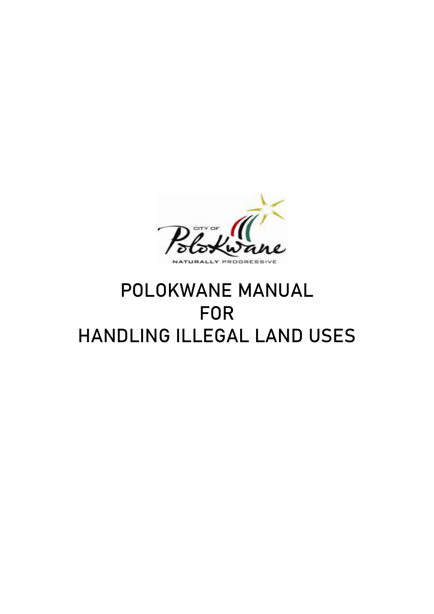

# POLOKWANE MANUAL FOR HANDLING ILLEGAL LAND USES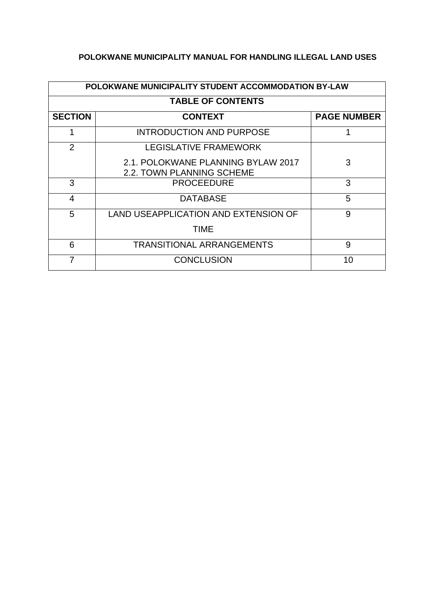# **POLOKWANE MUNICIPALITY MANUAL FOR HANDLING ILLEGAL LAND USES**

| POLOKWANE MUNICIPALITY STUDENT ACCOMMODATION BY-LAW |                                                                 |                    |  |  |  |
|-----------------------------------------------------|-----------------------------------------------------------------|--------------------|--|--|--|
| <b>TABLE OF CONTENTS</b>                            |                                                                 |                    |  |  |  |
| <b>SECTION</b>                                      | <b>CONTEXT</b>                                                  | <b>PAGE NUMBER</b> |  |  |  |
|                                                     | <b>INTRODUCTION AND PURPOSE</b>                                 |                    |  |  |  |
| 2                                                   | <b>LEGISLATIVE FRAMEWORK</b>                                    |                    |  |  |  |
|                                                     | 2.1. POLOKWANE PLANNING BYLAW 2017<br>2.2. TOWN PLANNING SCHEME | 3                  |  |  |  |
| 3                                                   | <b>PROCEEDURE</b>                                               | 3                  |  |  |  |
| $\overline{4}$                                      | <b>DATABASE</b>                                                 | 5                  |  |  |  |
| 5                                                   | <b>LAND USEAPPLICATION AND EXTENSION OF</b>                     | 9                  |  |  |  |
|                                                     | TIME                                                            |                    |  |  |  |
| 6                                                   | <b>TRANSITIONAL ARRANGEMENTS</b>                                | 9                  |  |  |  |
| 7                                                   | <b>CONCLUSION</b>                                               | 10                 |  |  |  |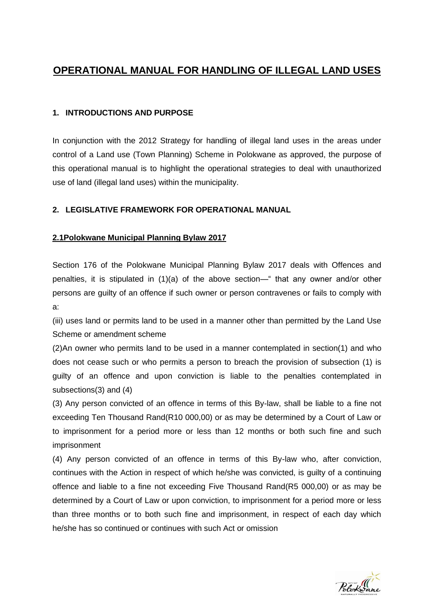# **OPERATIONAL MANUAL FOR HANDLING OF ILLEGAL LAND USES**

# **1. INTRODUCTIONS AND PURPOSE**

In conjunction with the 2012 Strategy for handling of illegal land uses in the areas under control of a Land use (Town Planning) Scheme in Polokwane as approved, the purpose of this operational manual is to highlight the operational strategies to deal with unauthorized use of land (illegal land uses) within the municipality.

# **2. LEGISLATIVE FRAMEWORK FOR OPERATIONAL MANUAL**

## **2.1Polokwane Municipal Planning Bylaw 2017**

Section 176 of the Polokwane Municipal Planning Bylaw 2017 deals with Offences and penalties, it is stipulated in (1)(a) of the above section—" that any owner and/or other persons are guilty of an offence if such owner or person contravenes or fails to comply with a:

(iii) uses land or permits land to be used in a manner other than permitted by the Land Use Scheme or amendment scheme

(2)An owner who permits land to be used in a manner contemplated in section(1) and who does not cease such or who permits a person to breach the provision of subsection (1) is guilty of an offence and upon conviction is liable to the penalties contemplated in subsections(3) and (4)

(3) Any person convicted of an offence in terms of this By-law, shall be liable to a fine not exceeding Ten Thousand Rand(R10 000,00) or as may be determined by a Court of Law or to imprisonment for a period more or less than 12 months or both such fine and such imprisonment

(4) Any person convicted of an offence in terms of this By-law who, after conviction, continues with the Action in respect of which he/she was convicted, is guilty of a continuing offence and liable to a fine not exceeding Five Thousand Rand(R5 000,00) or as may be determined by a Court of Law or upon conviction, to imprisonment for a period more or less than three months or to both such fine and imprisonment, in respect of each day which he/she has so continued or continues with such Act or omission

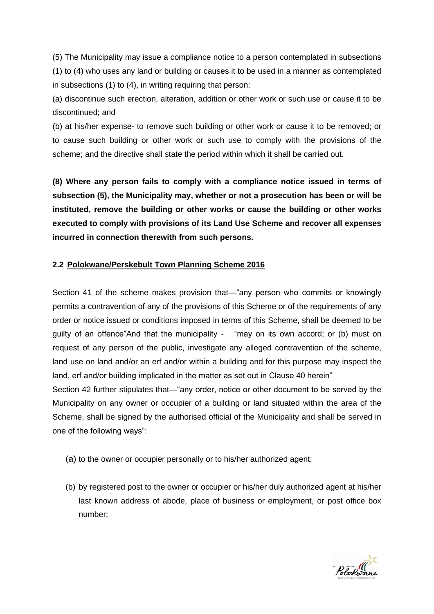(5) The Municipality may issue a compliance notice to a person contemplated in subsections (1) to (4) who uses any land or building or causes it to be used in a manner as contemplated in subsections (1) to (4), in writing requiring that person:

(a) discontinue such erection, alteration, addition or other work or such use or cause it to be discontinued; and

(b) at his/her expense- to remove such building or other work or cause it to be removed; or to cause such building or other work or such use to comply with the provisions of the scheme; and the directive shall state the period within which it shall be carried out.

**(8) Where any person fails to comply with a compliance notice issued in terms of subsection (5), the Municipality may, whether or not a prosecution has been or will be instituted, remove the building or other works or cause the building or other works executed to comply with provisions of its Land Use Scheme and recover all expenses incurred in connection therewith from such persons.**

## **2.2 Polokwane/Perskebult Town Planning Scheme 2016**

Section 41 of the scheme makes provision that—"any person who commits or knowingly permits a contravention of any of the provisions of this Scheme or of the requirements of any order or notice issued or conditions imposed in terms of this Scheme, shall be deemed to be guilty of an offence"And that the municipality - "may on its own accord; or (b) must on request of any person of the public, investigate any alleged contravention of the scheme, land use on land and/or an erf and/or within a building and for this purpose may inspect the land, erf and/or building implicated in the matter as set out in Clause 40 herein"

Section 42 further stipulates that—"any order, notice or other document to be served by the Municipality on any owner or occupier of a building or land situated within the area of the Scheme, shall be signed by the authorised official of the Municipality and shall be served in one of the following ways":

- (a) to the owner or occupier personally or to his/her authorized agent;
- (b) by registered post to the owner or occupier or his/her duly authorized agent at his/her last known address of abode, place of business or employment, or post office box number;

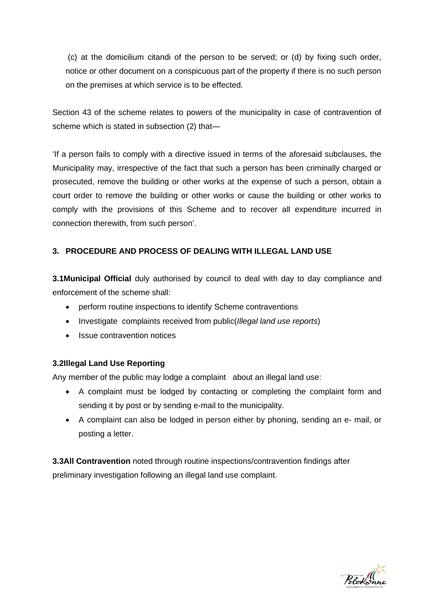(c) at the domicilium citandi of the person to be served; or (d) by fixing such order, notice or other document on a conspicuous part of the property if there is no such person on the premises at which service is to be effected.

Section 43 of the scheme relates to powers of the municipality in case of contravention of scheme which is stated in subsection (2) that—

'If a person fails to comply with a directive issued in terms of the aforesaid subclauses, the Municipality may, irrespective of the fact that such a person has been criminally charged or prosecuted, remove the building or other works at the expense of such a person, obtain a court order to remove the building or other works or cause the building or other works to comply with the provisions of this Scheme and to recover all expenditure incurred in connection therewith, from such person'.

# **3. PROCEDURE AND PROCESS OF DEALING WITH ILLEGAL LAND USE**

**3.1Municipal Official** duly authorised by council to deal with day to day compliance and enforcement of the scheme shall:

- perform routine inspections to identify Scheme contraventions
- Investigate complaints received from public(*Illegal land use reports*)
- Issue contravention notices

## **3.2Illegal Land Use Reporting**

Any member of the public may lodge a complaint about an illegal land use:

- A complaint must be lodged by contacting or completing the complaint form and sending it by post or by sending e-mail to the municipality.
- A complaint can also be lodged in person either by phoning, sending an e- mail, or posting a letter.

**3.3All Contravention** noted through routine inspections/contravention findings after preliminary investigation following an illegal land use complaint.

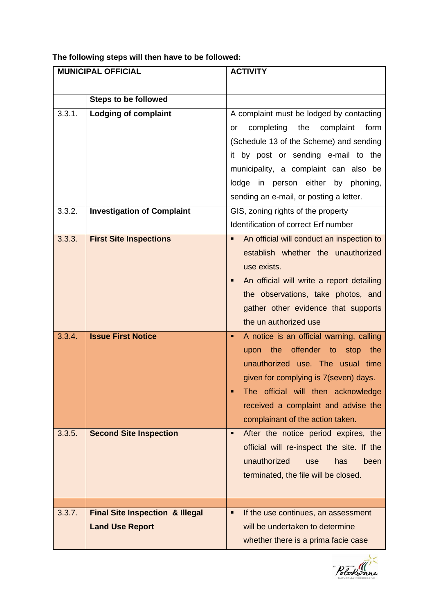# **The following steps will then have to be followed:**

| <b>MUNICIPAL OFFICIAL</b> |                                            | <b>ACTIVITY</b>                                |  |
|---------------------------|--------------------------------------------|------------------------------------------------|--|
|                           |                                            |                                                |  |
|                           | <b>Steps to be followed</b>                |                                                |  |
| 3.3.1.                    | <b>Lodging of complaint</b>                | A complaint must be lodged by contacting       |  |
|                           |                                            | completing<br>the<br>complaint<br>form<br>or   |  |
|                           |                                            | (Schedule 13 of the Scheme) and sending        |  |
|                           |                                            | it by post or sending e-mail to the            |  |
|                           |                                            | municipality, a complaint can also be          |  |
|                           |                                            | lodge in person either by phoning,             |  |
|                           |                                            | sending an e-mail, or posting a letter.        |  |
| 3.3.2.                    | <b>Investigation of Complaint</b>          | GIS, zoning rights of the property             |  |
|                           |                                            | Identification of correct Erf number           |  |
| 3.3.3.                    | <b>First Site Inspections</b>              | An official will conduct an inspection to<br>٠ |  |
|                           |                                            | establish whether the unauthorized             |  |
|                           |                                            | use exists.                                    |  |
|                           |                                            | An official will write a report detailing<br>٠ |  |
|                           |                                            | the observations, take photos, and             |  |
|                           |                                            | gather other evidence that supports            |  |
|                           |                                            | the un authorized use                          |  |
| 3.3.4.                    | <b>Issue First Notice</b>                  | A notice is an official warning, calling<br>٠  |  |
|                           |                                            | the offender to<br>upon<br>stop the            |  |
|                           |                                            | unauthorized use. The usual time               |  |
|                           |                                            | given for complying is 7(seven) days.          |  |
|                           |                                            | The official will then acknowledge             |  |
|                           |                                            | received a complaint and advise the            |  |
|                           |                                            |                                                |  |
|                           |                                            | complainant of the action taken.               |  |
| 3.3.5.                    | <b>Second Site Inspection</b>              | After the notice period expires, the<br>٠      |  |
|                           |                                            | official will re-inspect the site. If the      |  |
|                           |                                            | unauthorized<br>has<br>been<br>use             |  |
|                           |                                            | terminated, the file will be closed.           |  |
|                           |                                            |                                                |  |
| 3.3.7.                    | <b>Final Site Inspection &amp; Illegal</b> | If the use continues, an assessment<br>٠       |  |
|                           | <b>Land Use Report</b>                     | will be undertaken to determine                |  |
|                           |                                            |                                                |  |
|                           |                                            | whether there is a prima facie case            |  |

Polotwane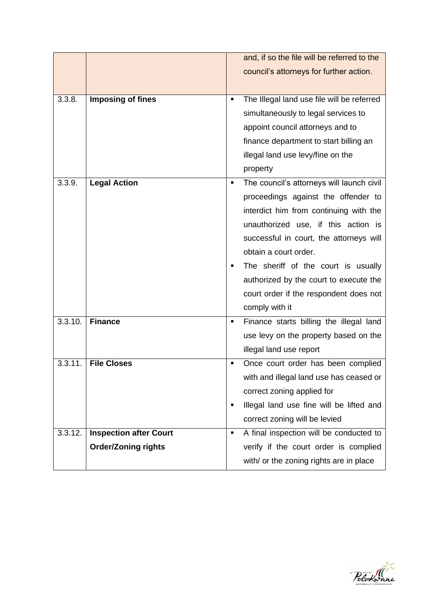|         |                               |                | and, if so the file will be referred to the |
|---------|-------------------------------|----------------|---------------------------------------------|
|         |                               |                | council's attorneys for further action.     |
|         |                               |                |                                             |
| 3.3.8.  | <b>Imposing of fines</b>      | ٠              | The Illegal land use file will be referred  |
|         |                               |                | simultaneously to legal services to         |
|         |                               |                | appoint council attorneys and to            |
|         |                               |                | finance department to start billing an      |
|         |                               |                | illegal land use levy/fine on the           |
|         |                               |                | property                                    |
| 3.3.9.  | <b>Legal Action</b>           | ٠              | The council's attorneys will launch civil   |
|         |                               |                | proceedings against the offender to         |
|         |                               |                | interdict him from continuing with the      |
|         |                               |                | unauthorized use, if this action is         |
|         |                               |                | successful in court, the attorneys will     |
|         |                               |                | obtain a court order.                       |
|         |                               |                | The sheriff of the court is usually         |
|         |                               |                | authorized by the court to execute the      |
|         |                               |                | court order if the respondent does not      |
|         |                               |                | comply with it                              |
| 3.3.10. | <b>Finance</b>                | ٠              | Finance starts billing the illegal land     |
|         |                               |                | use levy on the property based on the       |
|         |                               |                | illegal land use report                     |
| 3.3.11. | <b>File Closes</b>            | ٠              | Once court order has been complied          |
|         |                               |                | with and illegal land use has ceased or     |
|         |                               |                | correct zoning applied for                  |
|         |                               | ٠              | Illegal land use fine will be lifted and    |
|         |                               |                | correct zoning will be levied               |
| 3.3.12. | <b>Inspection after Court</b> | $\blacksquare$ | A final inspection will be conducted to     |
|         | <b>Order/Zoning rights</b>    |                | verify if the court order is complied       |
|         |                               |                | with/ or the zoning rights are in place     |

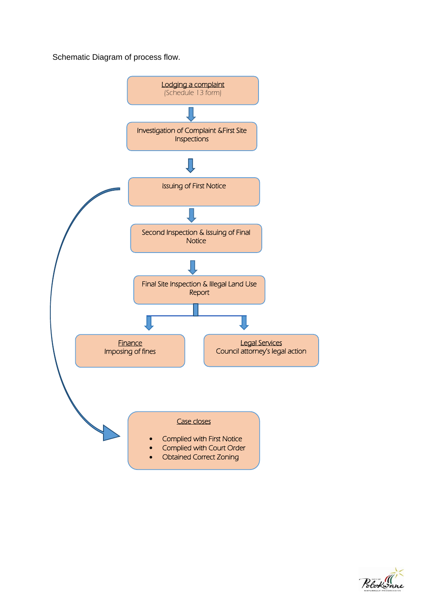Schematic Diagram of process flow.



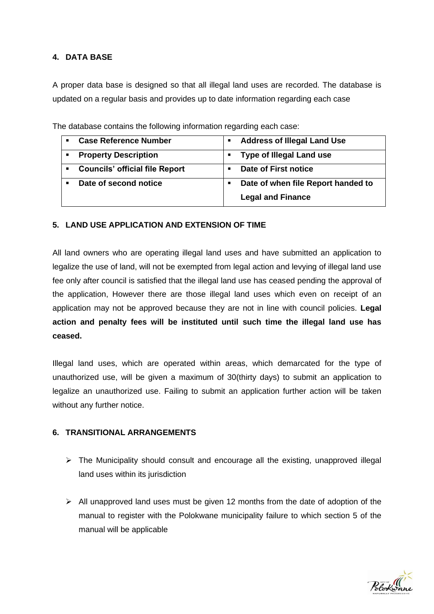# **4. DATA BASE**

A proper data base is designed so that all illegal land uses are recorded. The database is updated on a regular basis and provides up to date information regarding each case

| <b>Case Reference Number</b>                            | <b>Address of Illegal Land Use</b> |
|---------------------------------------------------------|------------------------------------|
| <b>Property Description</b>                             | <b>Type of Illegal Land use</b>    |
| <b>Councils' official file Report</b><br>$\blacksquare$ | Date of First notice               |
| Date of second notice                                   | Date of when file Report handed to |
|                                                         | <b>Legal and Finance</b>           |

The database contains the following information regarding each case:

## **5. LAND USE APPLICATION AND EXTENSION OF TIME**

All land owners who are operating illegal land uses and have submitted an application to legalize the use of land, will not be exempted from legal action and levying of illegal land use fee only after council is satisfied that the illegal land use has ceased pending the approval of the application, However there are those illegal land uses which even on receipt of an application may not be approved because they are not in line with council policies. **Legal action and penalty fees will be instituted until such time the illegal land use has ceased.** 

Illegal land uses, which are operated within areas, which demarcated for the type of unauthorized use, will be given a maximum of 30(thirty days) to submit an application to legalize an unauthorized use. Failing to submit an application further action will be taken without any further notice.

## **6. TRANSITIONAL ARRANGEMENTS**

- $\triangleright$  The Municipality should consult and encourage all the existing, unapproved illegal land uses within its jurisdiction
- ➢ All unapproved land uses must be given 12 months from the date of adoption of the manual to register with the Polokwane municipality failure to which section 5 of the manual will be applicable